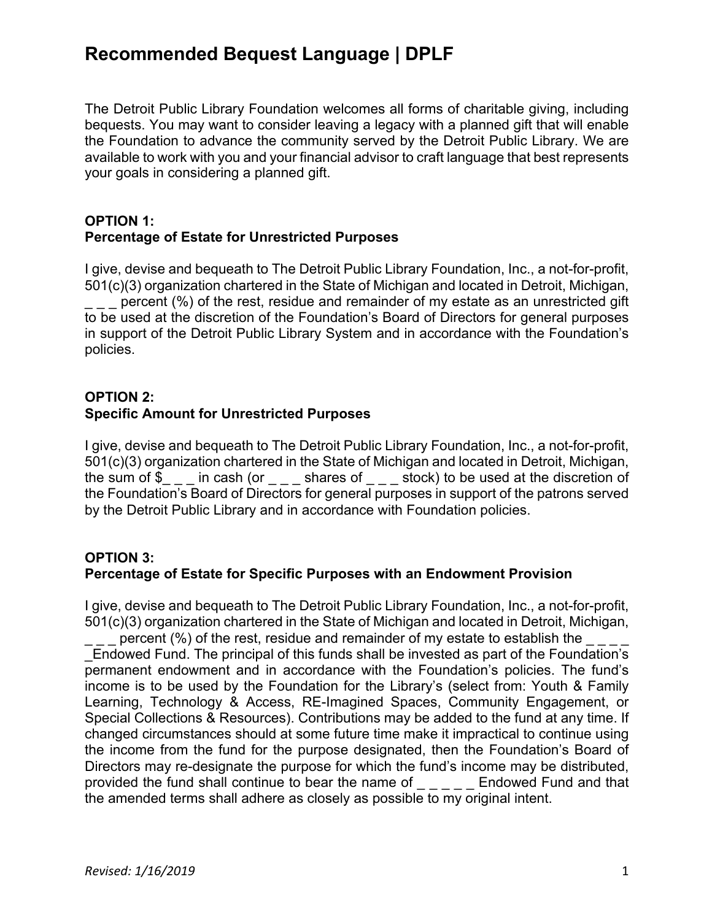## **Recommended Bequest Language | DPLF**

The Detroit Public Library Foundation welcomes all forms of charitable giving, including bequests. You may want to consider leaving a legacy with a planned gift that will enable the Foundation to advance the community served by the Detroit Public Library. We are available to work with you and your financial advisor to craft language that best represents your goals in considering a planned gift.

#### **OPTION 1: Percentage of Estate for Unrestricted Purposes**

I give, devise and bequeath to The Detroit Public Library Foundation, Inc., a not-for-profit, 501(c)(3) organization chartered in the State of Michigan and located in Detroit, Michigan,

percent (%) of the rest, residue and remainder of my estate as an unrestricted gift to be used at the discretion of the Foundation's Board of Directors for general purposes in support of the Detroit Public Library System and in accordance with the Foundation's policies.

#### **OPTION 2: Specific Amount for Unrestricted Purposes**

I give, devise and bequeath to The Detroit Public Library Foundation, Inc., a not-for-profit, 501(c)(3) organization chartered in the State of Michigan and located in Detroit, Michigan, the sum of  $\tilde{\S}_{\_ \, \_ \_ \, \dots}$  in cash (or  $\tilde{\S}_{\_ \, \_ \, \dots}$  shares of  $\tilde{\S}_{\_ \, \_ \, \dots}$  stock) to be used at the discretion of the Foundation's Board of Directors for general purposes in support of the patrons served by the Detroit Public Library and in accordance with Foundation policies.

## **OPTION 3: Percentage of Estate for Specific Purposes with an Endowment Provision**

I give, devise and bequeath to The Detroit Public Library Foundation, Inc., a not-for-profit, 501(c)(3) organization chartered in the State of Michigan and located in Detroit, Michigan, percent (%) of the rest, residue and remainder of my estate to establish the

\_Endowed Fund. The principal of this funds shall be invested as part of the Foundation's permanent endowment and in accordance with the Foundation's policies. The fund's income is to be used by the Foundation for the Library's (select from: Youth & Family Learning, Technology & Access, RE-Imagined Spaces, Community Engagement, or Special Collections & Resources). Contributions may be added to the fund at any time. If changed circumstances should at some future time make it impractical to continue using the income from the fund for the purpose designated, then the Foundation's Board of Directors may re-designate the purpose for which the fund's income may be distributed, provided the fund shall continue to bear the name of Endowed Fund and that the amended terms shall adhere as closely as possible to my original intent.